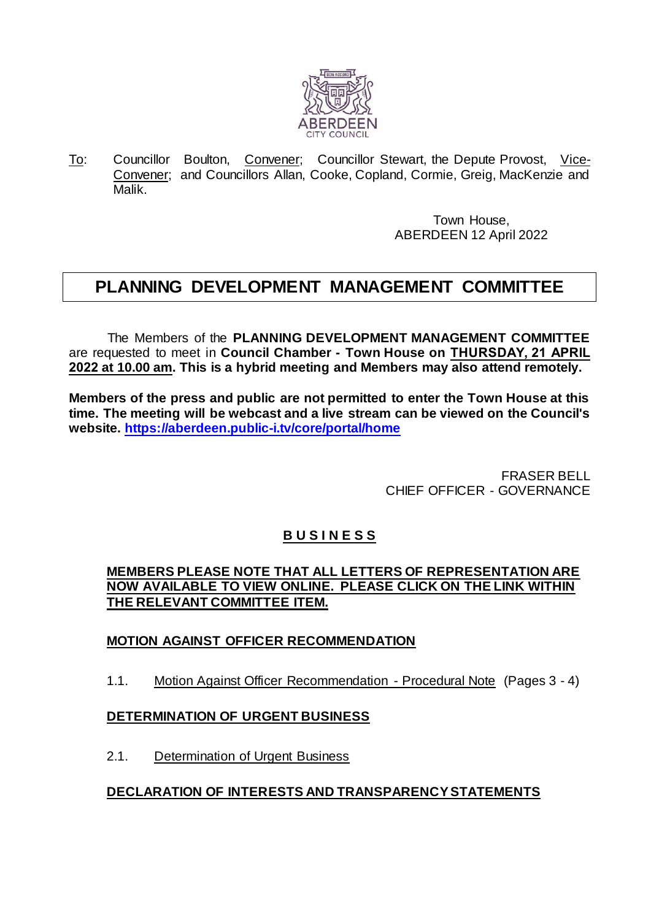

To: Councillor Boulton, Convener; Councillor Stewart, the Depute Provost, Vice-Convener; and Councillors Allan, Cooke, Copland, Cormie, Greig, MacKenzie and Malik.

> Town House, ABERDEEN 12 April 2022

# **PLANNING DEVELOPMENT MANAGEMENT COMMITTEE**

The Members of the **PLANNING DEVELOPMENT MANAGEMENT COMMITTEE** are requested to meet in **Council Chamber - Town House on THURSDAY, 21 APRIL 2022 at 10.00 am. This is a hybrid meeting and Members may also attend remotely.** 

**Members of the press and public are not permitted to enter the Town House at this time. The meeting will be webcast and a live stream can be viewed on the Council's website.<https://aberdeen.public-i.tv/core/portal/home>**

> FRASER BELL CHIEF OFFICER - GOVERNANCE

# **B U S I N E S S**

#### **MEMBERS PLEASE NOTE THAT ALL LETTERS OF REPRESENTATION ARE NOW AVAILABLE TO VIEW ONLINE. PLEASE CLICK ON THE LINK WITHIN THE RELEVANT COMMITTEE ITEM.**

### **MOTION AGAINST OFFICER RECOMMENDATION**

1.1. Motion Against Officer Recommendation - Procedural Note (Pages 3 - 4)

### **DETERMINATION OF URGENT BUSINESS**

2.1. Determination of Urgent Business

### **DECLARATION OF INTERESTS AND TRANSPARENCY STATEMENTS**